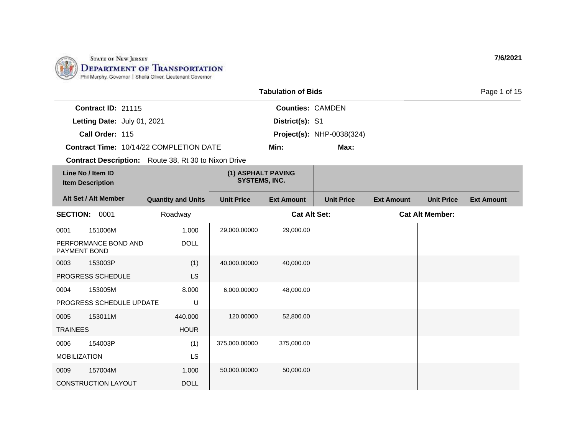

|                                                             |                           |                                            | <b>Tabulation of Bids</b> |                                  |                   |                        | Page 1 of 15      |
|-------------------------------------------------------------|---------------------------|--------------------------------------------|---------------------------|----------------------------------|-------------------|------------------------|-------------------|
| Contract ID: 21115                                          |                           |                                            | <b>Counties: CAMDEN</b>   |                                  |                   |                        |                   |
| Letting Date: July 01, 2021                                 |                           |                                            | District(s): S1           |                                  |                   |                        |                   |
| Call Order: 115                                             |                           |                                            |                           | <b>Project(s): NHP-0038(324)</b> |                   |                        |                   |
| Contract Time: 10/14/22 COMPLETION DATE                     |                           |                                            | Min:                      | Max:                             |                   |                        |                   |
| <b>Contract Description:</b> Route 38, Rt 30 to Nixon Drive |                           |                                            |                           |                                  |                   |                        |                   |
| Line No / Item ID<br><b>Item Description</b>                |                           | (1) ASPHALT PAVING<br><b>SYSTEMS, INC.</b> |                           |                                  |                   |                        |                   |
| Alt Set / Alt Member                                        | <b>Quantity and Units</b> | <b>Unit Price</b>                          | <b>Ext Amount</b>         | <b>Unit Price</b>                | <b>Ext Amount</b> | <b>Unit Price</b>      | <b>Ext Amount</b> |
| <b>SECTION: 0001</b>                                        | Roadway                   |                                            | <b>Cat Alt Set:</b>       |                                  |                   | <b>Cat Alt Member:</b> |                   |
| 151006M<br>0001                                             | 1.000                     | 29,000.00000                               | 29,000.00                 |                                  |                   |                        |                   |
| PERFORMANCE BOND AND<br><b>PAYMENT BOND</b>                 | <b>DOLL</b>               |                                            |                           |                                  |                   |                        |                   |
| 153003P<br>0003                                             | (1)                       | 40,000.00000                               | 40,000.00                 |                                  |                   |                        |                   |
| PROGRESS SCHEDULE                                           | <b>LS</b>                 |                                            |                           |                                  |                   |                        |                   |
| 153005M<br>0004                                             | 8.000                     | 6,000.00000                                | 48,000.00                 |                                  |                   |                        |                   |
| PROGRESS SCHEDULE UPDATE                                    | U                         |                                            |                           |                                  |                   |                        |                   |
| 153011M<br>0005                                             | 440.000                   | 120.00000                                  | 52,800.00                 |                                  |                   |                        |                   |
| <b>TRAINEES</b>                                             | <b>HOUR</b>               |                                            |                           |                                  |                   |                        |                   |
| 154003P<br>0006                                             | (1)                       | 375,000.00000                              | 375,000.00                |                                  |                   |                        |                   |
| <b>MOBILIZATION</b>                                         | LS                        |                                            |                           |                                  |                   |                        |                   |
| 157004M<br>0009                                             | 1.000                     | 50,000.00000                               | 50,000.00                 |                                  |                   |                        |                   |
| <b>CONSTRUCTION LAYOUT</b>                                  | <b>DOLL</b>               |                                            |                           |                                  |                   |                        |                   |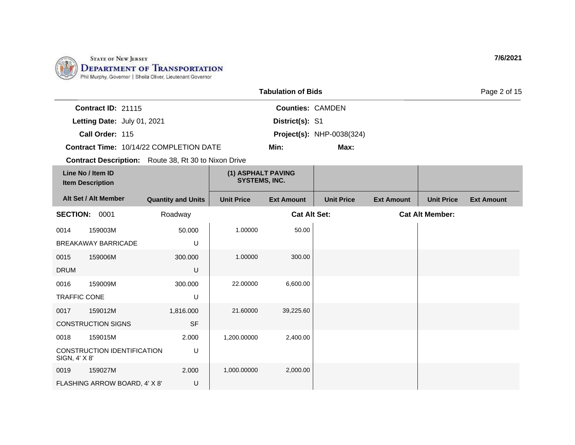

|                                              |                                                             |                           |                                            | <b>Tabulation of Bids</b> |                                  |                   |                        | Page 2 of 15      |
|----------------------------------------------|-------------------------------------------------------------|---------------------------|--------------------------------------------|---------------------------|----------------------------------|-------------------|------------------------|-------------------|
|                                              | Contract ID: 21115                                          |                           |                                            | <b>Counties: CAMDEN</b>   |                                  |                   |                        |                   |
|                                              | Letting Date: July 01, 2021                                 |                           |                                            | District(s): S1           |                                  |                   |                        |                   |
|                                              | Call Order: 115                                             |                           |                                            |                           | <b>Project(s): NHP-0038(324)</b> |                   |                        |                   |
|                                              | Contract Time: 10/14/22 COMPLETION DATE                     |                           |                                            | Min:                      | Max:                             |                   |                        |                   |
|                                              | <b>Contract Description:</b> Route 38, Rt 30 to Nixon Drive |                           |                                            |                           |                                  |                   |                        |                   |
| Line No / Item ID<br><b>Item Description</b> |                                                             |                           | (1) ASPHALT PAVING<br><b>SYSTEMS, INC.</b> |                           |                                  |                   |                        |                   |
|                                              | Alt Set / Alt Member                                        | <b>Quantity and Units</b> | <b>Unit Price</b>                          | <b>Ext Amount</b>         | <b>Unit Price</b>                | <b>Ext Amount</b> | <b>Unit Price</b>      | <b>Ext Amount</b> |
| <b>SECTION: 0001</b>                         |                                                             | Roadway                   |                                            | <b>Cat Alt Set:</b>       |                                  |                   | <b>Cat Alt Member:</b> |                   |
| 0014                                         | 159003M                                                     | 50.000                    | 1.00000                                    | 50.00                     |                                  |                   |                        |                   |
|                                              | BREAKAWAY BARRICADE                                         | U                         |                                            |                           |                                  |                   |                        |                   |
| 0015                                         | 159006M                                                     | 300.000                   | 1.00000                                    | 300.00                    |                                  |                   |                        |                   |
| <b>DRUM</b>                                  |                                                             | U                         |                                            |                           |                                  |                   |                        |                   |
| 0016                                         | 159009M                                                     | 300.000                   | 22,00000                                   | 6,600.00                  |                                  |                   |                        |                   |
| <b>TRAFFIC CONE</b>                          |                                                             | U                         |                                            |                           |                                  |                   |                        |                   |
| 0017                                         | 159012M                                                     | 1,816.000                 | 21.60000                                   | 39,225.60                 |                                  |                   |                        |                   |
|                                              | <b>CONSTRUCTION SIGNS</b>                                   | <b>SF</b>                 |                                            |                           |                                  |                   |                        |                   |
| 0018                                         | 159015M                                                     | 2.000                     | 1,200.00000                                | 2,400.00                  |                                  |                   |                        |                   |
| SIGN, 4' X 8'                                | CONSTRUCTION IDENTIFICATION                                 | U                         |                                            |                           |                                  |                   |                        |                   |
| 0019                                         | 159027M                                                     | 2.000                     | 1,000.00000                                | 2,000.00                  |                                  |                   |                        |                   |
|                                              | FLASHING ARROW BOARD, 4' X 8'                               | U                         |                                            |                           |                                  |                   |                        |                   |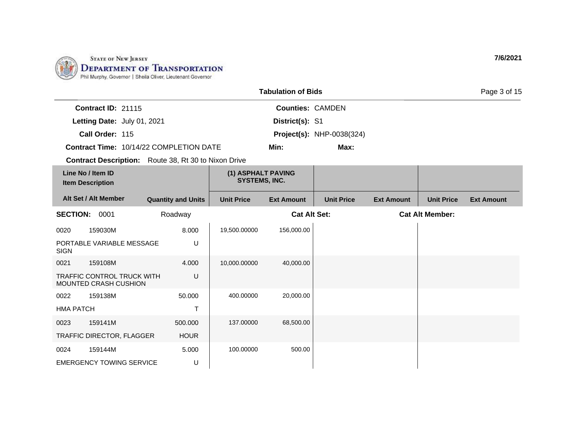

|                                              |                                                            |                                                             |                                            | <b>Tabulation of Bids</b> |                                  |                   |                        | Page 3 of 15      |
|----------------------------------------------|------------------------------------------------------------|-------------------------------------------------------------|--------------------------------------------|---------------------------|----------------------------------|-------------------|------------------------|-------------------|
|                                              | Contract ID: 21115                                         |                                                             |                                            | <b>Counties: CAMDEN</b>   |                                  |                   |                        |                   |
|                                              | Letting Date: July 01, 2021                                |                                                             |                                            | District(s): S1           |                                  |                   |                        |                   |
|                                              | Call Order: 115                                            |                                                             |                                            |                           | <b>Project(s): NHP-0038(324)</b> |                   |                        |                   |
|                                              |                                                            | Contract Time: 10/14/22 COMPLETION DATE                     |                                            | Min:                      | Max:                             |                   |                        |                   |
|                                              |                                                            | <b>Contract Description:</b> Route 38, Rt 30 to Nixon Drive |                                            |                           |                                  |                   |                        |                   |
| Line No / Item ID<br><b>Item Description</b> |                                                            |                                                             | (1) ASPHALT PAVING<br><b>SYSTEMS, INC.</b> |                           |                                  |                   |                        |                   |
| Alt Set / Alt Member                         |                                                            | <b>Quantity and Units</b>                                   | <b>Unit Price</b>                          | <b>Ext Amount</b>         | <b>Unit Price</b>                | <b>Ext Amount</b> | <b>Unit Price</b>      | <b>Ext Amount</b> |
| <b>SECTION: 0001</b>                         |                                                            | Roadway                                                     |                                            | <b>Cat Alt Set:</b>       |                                  |                   | <b>Cat Alt Member:</b> |                   |
| 0020                                         | 159030M                                                    | 8.000                                                       | 19,500.00000                               | 156,000.00                |                                  |                   |                        |                   |
| <b>SIGN</b>                                  | PORTABLE VARIABLE MESSAGE                                  | U                                                           |                                            |                           |                                  |                   |                        |                   |
| 0021                                         | 159108M                                                    | 4.000                                                       | 10,000.00000                               | 40,000.00                 |                                  |                   |                        |                   |
|                                              | <b>TRAFFIC CONTROL TRUCK WITH</b><br>MOUNTED CRASH CUSHION | U                                                           |                                            |                           |                                  |                   |                        |                   |
| 0022                                         | 159138M                                                    | 50.000                                                      | 400.00000                                  | 20,000.00                 |                                  |                   |                        |                   |
| <b>HMA PATCH</b>                             |                                                            | $\mathsf T$                                                 |                                            |                           |                                  |                   |                        |                   |
| 0023                                         | 159141M                                                    | 500.000                                                     | 137.00000                                  | 68,500.00                 |                                  |                   |                        |                   |
|                                              | TRAFFIC DIRECTOR, FLAGGER                                  | <b>HOUR</b>                                                 |                                            |                           |                                  |                   |                        |                   |
| 0024                                         | 159144M                                                    | 5.000                                                       | 100.00000                                  | 500.00                    |                                  |                   |                        |                   |
|                                              | <b>EMERGENCY TOWING SERVICE</b>                            | U                                                           |                                            |                           |                                  |                   |                        |                   |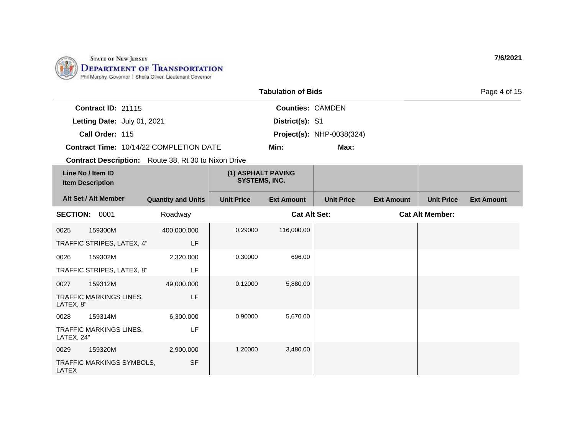

|                                              |                             |                                                             |                                            | <b>Tabulation of Bids</b> |                                  |                   |                        | Page 4 of 15      |
|----------------------------------------------|-----------------------------|-------------------------------------------------------------|--------------------------------------------|---------------------------|----------------------------------|-------------------|------------------------|-------------------|
|                                              | Contract ID: 21115          |                                                             |                                            | <b>Counties: CAMDEN</b>   |                                  |                   |                        |                   |
|                                              | Letting Date: July 01, 2021 |                                                             |                                            | District(s): S1           |                                  |                   |                        |                   |
|                                              | Call Order: 115             |                                                             |                                            |                           | <b>Project(s): NHP-0038(324)</b> |                   |                        |                   |
|                                              |                             | Contract Time: 10/14/22 COMPLETION DATE                     |                                            | Min:                      | Max:                             |                   |                        |                   |
|                                              |                             | <b>Contract Description:</b> Route 38, Rt 30 to Nixon Drive |                                            |                           |                                  |                   |                        |                   |
| Line No / Item ID<br><b>Item Description</b> |                             |                                                             | (1) ASPHALT PAVING<br><b>SYSTEMS, INC.</b> |                           |                                  |                   |                        |                   |
|                                              | Alt Set / Alt Member        | <b>Quantity and Units</b>                                   | <b>Unit Price</b>                          | <b>Ext Amount</b>         | <b>Unit Price</b>                | <b>Ext Amount</b> | <b>Unit Price</b>      | <b>Ext Amount</b> |
| <b>SECTION: 0001</b>                         |                             | Roadway                                                     |                                            | <b>Cat Alt Set:</b>       |                                  |                   | <b>Cat Alt Member:</b> |                   |
| 0025                                         | 159300M                     | 400,000.000                                                 | 0.29000                                    | 116,000.00                |                                  |                   |                        |                   |
|                                              | TRAFFIC STRIPES, LATEX, 4"  | LF                                                          |                                            |                           |                                  |                   |                        |                   |
| 0026                                         | 159302M                     | 2,320.000                                                   | 0.30000                                    | 696.00                    |                                  |                   |                        |                   |
|                                              | TRAFFIC STRIPES, LATEX, 8"  | LF                                                          |                                            |                           |                                  |                   |                        |                   |
| 0027                                         | 159312M                     | 49,000.000                                                  | 0.12000                                    | 5,880.00                  |                                  |                   |                        |                   |
| LATEX, 8"                                    | TRAFFIC MARKINGS LINES,     | LF                                                          |                                            |                           |                                  |                   |                        |                   |
| 0028                                         | 159314M                     | 6,300.000                                                   | 0.90000                                    | 5,670.00                  |                                  |                   |                        |                   |
| LATEX, 24"                                   | TRAFFIC MARKINGS LINES,     | LF                                                          |                                            |                           |                                  |                   |                        |                   |
| 0029                                         | 159320M                     | 2,900.000                                                   | 1.20000                                    | 3,480.00                  |                                  |                   |                        |                   |
| <b>LATEX</b>                                 | TRAFFIC MARKINGS SYMBOLS,   | <b>SF</b>                                                   |                                            |                           |                                  |                   |                        |                   |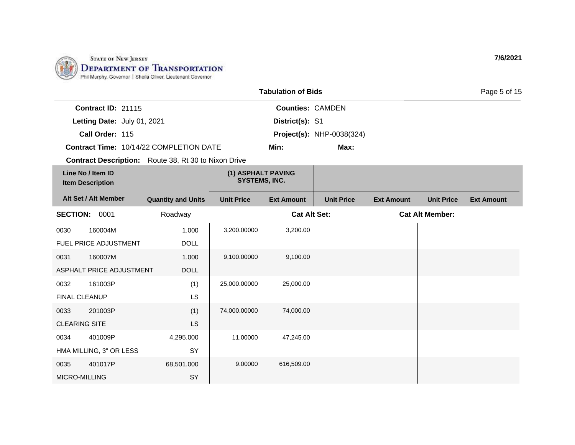

|                                              |                             |                                                             |                                            | <b>Tabulation of Bids</b> |                                  |                   |                        | Page 5 of 15      |
|----------------------------------------------|-----------------------------|-------------------------------------------------------------|--------------------------------------------|---------------------------|----------------------------------|-------------------|------------------------|-------------------|
|                                              | Contract ID: 21115          |                                                             |                                            | <b>Counties: CAMDEN</b>   |                                  |                   |                        |                   |
|                                              | Letting Date: July 01, 2021 |                                                             |                                            | District(s): S1           |                                  |                   |                        |                   |
|                                              | Call Order: 115             |                                                             |                                            |                           | <b>Project(s): NHP-0038(324)</b> |                   |                        |                   |
|                                              |                             | Contract Time: 10/14/22 COMPLETION DATE                     |                                            | Min:                      | Max:                             |                   |                        |                   |
|                                              |                             | <b>Contract Description:</b> Route 38, Rt 30 to Nixon Drive |                                            |                           |                                  |                   |                        |                   |
| Line No / Item ID<br><b>Item Description</b> |                             |                                                             | (1) ASPHALT PAVING<br><b>SYSTEMS, INC.</b> |                           |                                  |                   |                        |                   |
|                                              | Alt Set / Alt Member        | <b>Quantity and Units</b>                                   | <b>Unit Price</b>                          | <b>Ext Amount</b>         | <b>Unit Price</b>                | <b>Ext Amount</b> | <b>Unit Price</b>      | <b>Ext Amount</b> |
| <b>SECTION: 0001</b>                         |                             | Roadway                                                     |                                            | <b>Cat Alt Set:</b>       |                                  |                   | <b>Cat Alt Member:</b> |                   |
| 0030                                         | 160004M                     | 1.000                                                       | 3,200.00000                                | 3,200.00                  |                                  |                   |                        |                   |
|                                              | FUEL PRICE ADJUSTMENT       | <b>DOLL</b>                                                 |                                            |                           |                                  |                   |                        |                   |
| 0031                                         | 160007M                     | 1.000                                                       | 9,100.00000                                | 9,100.00                  |                                  |                   |                        |                   |
|                                              | ASPHALT PRICE ADJUSTMENT    | <b>DOLL</b>                                                 |                                            |                           |                                  |                   |                        |                   |
| 0032                                         | 161003P                     | (1)                                                         | 25,000.00000                               | 25,000.00                 |                                  |                   |                        |                   |
| FINAL CLEANUP                                |                             | LS                                                          |                                            |                           |                                  |                   |                        |                   |
| 0033                                         | 201003P                     | (1)                                                         | 74,000.00000                               | 74,000.00                 |                                  |                   |                        |                   |
| <b>CLEARING SITE</b>                         |                             | <b>LS</b>                                                   |                                            |                           |                                  |                   |                        |                   |
| 0034                                         | 401009P                     | 4,295.000                                                   | 11.00000                                   | 47,245.00                 |                                  |                   |                        |                   |
|                                              | HMA MILLING, 3" OR LESS     | SY                                                          |                                            |                           |                                  |                   |                        |                   |
| 0035                                         | 401017P                     | 68,501.000                                                  | 9.00000                                    | 616,509.00                |                                  |                   |                        |                   |
| MICRO-MILLING                                |                             | SY                                                          |                                            |                           |                                  |                   |                        |                   |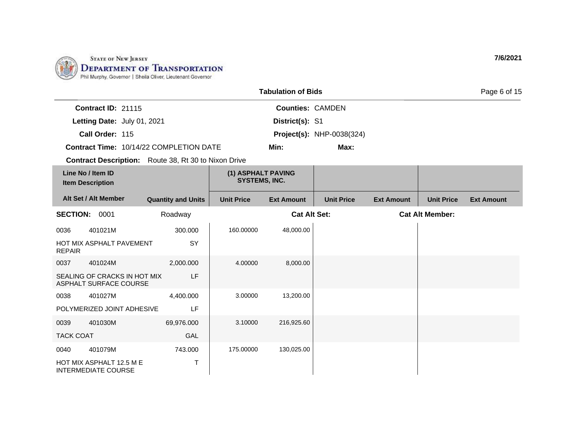

|                      |                                                               |                                                             |                                            | <b>Tabulation of Bids</b> |                                  |                   |                        | Page 6 of 15      |
|----------------------|---------------------------------------------------------------|-------------------------------------------------------------|--------------------------------------------|---------------------------|----------------------------------|-------------------|------------------------|-------------------|
|                      | Contract ID: 21115                                            |                                                             |                                            | <b>Counties: CAMDEN</b>   |                                  |                   |                        |                   |
|                      | Letting Date: July 01, 2021                                   |                                                             |                                            | District(s): S1           |                                  |                   |                        |                   |
|                      | Call Order: 115                                               |                                                             |                                            |                           | <b>Project(s): NHP-0038(324)</b> |                   |                        |                   |
|                      |                                                               | Contract Time: 10/14/22 COMPLETION DATE                     |                                            | Min:                      | Max:                             |                   |                        |                   |
|                      |                                                               | <b>Contract Description:</b> Route 38, Rt 30 to Nixon Drive |                                            |                           |                                  |                   |                        |                   |
|                      | Line No / Item ID<br><b>Item Description</b>                  |                                                             | (1) ASPHALT PAVING<br><b>SYSTEMS, INC.</b> |                           |                                  |                   |                        |                   |
|                      | Alt Set / Alt Member                                          | <b>Quantity and Units</b>                                   | <b>Unit Price</b>                          | <b>Ext Amount</b>         | <b>Unit Price</b>                | <b>Ext Amount</b> | <b>Unit Price</b>      | <b>Ext Amount</b> |
| <b>SECTION: 0001</b> |                                                               | Roadway                                                     |                                            | <b>Cat Alt Set:</b>       |                                  |                   | <b>Cat Alt Member:</b> |                   |
| 0036                 | 401021M                                                       | 300.000                                                     | 160.00000                                  | 48,000.00                 |                                  |                   |                        |                   |
| <b>REPAIR</b>        | HOT MIX ASPHALT PAVEMENT                                      | SY                                                          |                                            |                           |                                  |                   |                        |                   |
| 0037                 | 401024M                                                       | 2,000.000                                                   | 4.00000                                    | 8,000.00                  |                                  |                   |                        |                   |
|                      | SEALING OF CRACKS IN HOT MIX<br><b>ASPHALT SURFACE COURSE</b> | LF                                                          |                                            |                           |                                  |                   |                        |                   |
| 0038                 | 401027M                                                       | 4,400.000                                                   | 3.00000                                    | 13,200.00                 |                                  |                   |                        |                   |
|                      | POLYMERIZED JOINT ADHESIVE                                    | LF                                                          |                                            |                           |                                  |                   |                        |                   |
| 0039                 | 401030M                                                       | 69,976.000                                                  | 3.10000                                    | 216,925.60                |                                  |                   |                        |                   |
| <b>TACK COAT</b>     |                                                               | GAL                                                         |                                            |                           |                                  |                   |                        |                   |
| 0040                 | 401079M                                                       | 743.000                                                     | 175.00000                                  | 130,025.00                |                                  |                   |                        |                   |
|                      | HOT MIX ASPHALT 12.5 M E<br><b>INTERMEDIATE COURSE</b>        | Τ                                                           |                                            |                           |                                  |                   |                        |                   |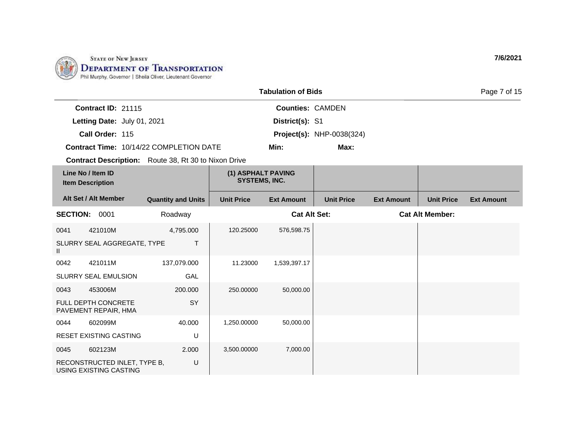

|                                                             |                           | <b>Tabulation of Bids</b>                  |                         | Page 7 of 15                     |                   |                        |                   |
|-------------------------------------------------------------|---------------------------|--------------------------------------------|-------------------------|----------------------------------|-------------------|------------------------|-------------------|
| Contract ID: 21115                                          |                           |                                            | <b>Counties: CAMDEN</b> |                                  |                   |                        |                   |
| Letting Date: July 01, 2021                                 |                           |                                            | District(s): S1         |                                  |                   |                        |                   |
| Call Order: 115                                             |                           |                                            |                         | <b>Project(s): NHP-0038(324)</b> |                   |                        |                   |
| Contract Time: 10/14/22 COMPLETION DATE                     |                           |                                            | Min:                    | Max:                             |                   |                        |                   |
| <b>Contract Description:</b> Route 38, Rt 30 to Nixon Drive |                           |                                            |                         |                                  |                   |                        |                   |
| Line No / Item ID<br><b>Item Description</b>                |                           | (1) ASPHALT PAVING<br><b>SYSTEMS, INC.</b> |                         |                                  |                   |                        |                   |
| Alt Set / Alt Member                                        | <b>Quantity and Units</b> | <b>Unit Price</b>                          | <b>Ext Amount</b>       | <b>Unit Price</b>                | <b>Ext Amount</b> | <b>Unit Price</b>      | <b>Ext Amount</b> |
| <b>SECTION: 0001</b>                                        | Roadway                   |                                            | <b>Cat Alt Set:</b>     |                                  |                   | <b>Cat Alt Member:</b> |                   |
| 421010M<br>0041                                             | 4,795.000                 | 120.25000                                  | 576,598.75              |                                  |                   |                        |                   |
| SLURRY SEAL AGGREGATE, TYPE<br>Ш                            | T.                        |                                            |                         |                                  |                   |                        |                   |
| 421011M<br>0042                                             | 137,079.000               | 11.23000                                   | 1,539,397.17            |                                  |                   |                        |                   |
| <b>SLURRY SEAL EMULSION</b>                                 | GAL                       |                                            |                         |                                  |                   |                        |                   |
| 453006M<br>0043                                             | 200.000                   | 250.00000                                  | 50,000.00               |                                  |                   |                        |                   |
| <b>FULL DEPTH CONCRETE</b><br>PAVEMENT REPAIR, HMA          | SY                        |                                            |                         |                                  |                   |                        |                   |
| 602099M<br>0044                                             | 40.000                    | 1,250.00000                                | 50,000.00               |                                  |                   |                        |                   |
| <b>RESET EXISTING CASTING</b>                               | U                         |                                            |                         |                                  |                   |                        |                   |
| 602123M<br>0045                                             | 2.000                     | 3,500.00000                                | 7,000.00                |                                  |                   |                        |                   |
| RECONSTRUCTED INLET, TYPE B,<br>USING EXISTING CASTING      | U                         |                                            |                         |                                  |                   |                        |                   |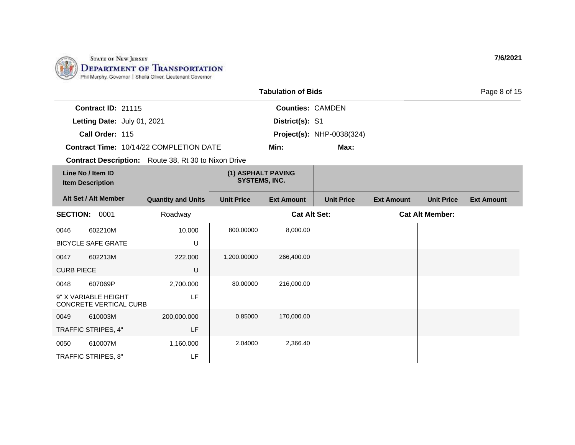

|                   |                                                |                                                             |                                            | <b>Tabulation of Bids</b> |                                  |                   |                        | Page 8 of 15      |
|-------------------|------------------------------------------------|-------------------------------------------------------------|--------------------------------------------|---------------------------|----------------------------------|-------------------|------------------------|-------------------|
|                   | Contract ID: 21115                             |                                                             |                                            | <b>Counties: CAMDEN</b>   |                                  |                   |                        |                   |
|                   | Letting Date: July 01, 2021                    |                                                             |                                            | District(s): S1           |                                  |                   |                        |                   |
|                   | Call Order: 115                                |                                                             |                                            |                           | <b>Project(s): NHP-0038(324)</b> |                   |                        |                   |
|                   |                                                | <b>Contract Time: 10/14/22 COMPLETION DATE</b>              |                                            | Min:                      | Max:                             |                   |                        |                   |
|                   |                                                | <b>Contract Description:</b> Route 38, Rt 30 to Nixon Drive |                                            |                           |                                  |                   |                        |                   |
|                   | Line No / Item ID<br><b>Item Description</b>   |                                                             | (1) ASPHALT PAVING<br><b>SYSTEMS, INC.</b> |                           |                                  |                   |                        |                   |
|                   | Alt Set / Alt Member                           | <b>Quantity and Units</b>                                   | <b>Unit Price</b>                          | <b>Ext Amount</b>         | <b>Unit Price</b>                | <b>Ext Amount</b> | <b>Unit Price</b>      | <b>Ext Amount</b> |
|                   | <b>SECTION: 0001</b>                           | Roadway                                                     |                                            | <b>Cat Alt Set:</b>       |                                  |                   | <b>Cat Alt Member:</b> |                   |
| 0046              | 602210M                                        | 10.000                                                      | 800.00000                                  | 8,000.00                  |                                  |                   |                        |                   |
|                   | <b>BICYCLE SAFE GRATE</b>                      | U                                                           |                                            |                           |                                  |                   |                        |                   |
| 0047              | 602213M                                        | 222.000                                                     | 1,200.00000                                | 266,400.00                |                                  |                   |                        |                   |
| <b>CURB PIECE</b> |                                                | U                                                           |                                            |                           |                                  |                   |                        |                   |
| 0048              | 607069P                                        | 2,700.000                                                   | 80.00000                                   | 216,000.00                |                                  |                   |                        |                   |
|                   | 9" X VARIABLE HEIGHT<br>CONCRETE VERTICAL CURB | LF                                                          |                                            |                           |                                  |                   |                        |                   |
| 0049              | 610003M                                        | 200,000.000                                                 | 0.85000                                    | 170,000.00                |                                  |                   |                        |                   |
|                   | TRAFFIC STRIPES, 4"                            | LF                                                          |                                            |                           |                                  |                   |                        |                   |
| 0050              | 610007M                                        | 1,160.000                                                   | 2.04000                                    | 2,366.40                  |                                  |                   |                        |                   |
|                   | TRAFFIC STRIPES, 8"                            | LF                                                          |                                            |                           |                                  |                   |                        |                   |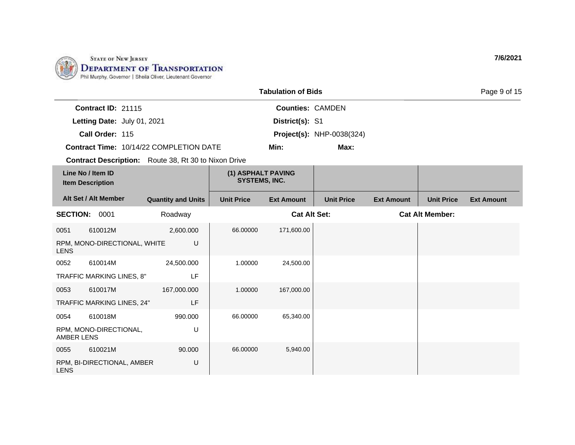

|                                              |                              |                                                             |                                            | <b>Tabulation of Bids</b> |                                  |                   |                        | Page 9 of 15      |
|----------------------------------------------|------------------------------|-------------------------------------------------------------|--------------------------------------------|---------------------------|----------------------------------|-------------------|------------------------|-------------------|
|                                              | Contract ID: 21115           |                                                             |                                            | <b>Counties: CAMDEN</b>   |                                  |                   |                        |                   |
|                                              | Letting Date: July 01, 2021  |                                                             |                                            | District(s): S1           |                                  |                   |                        |                   |
|                                              | Call Order: 115              |                                                             |                                            |                           | <b>Project(s): NHP-0038(324)</b> |                   |                        |                   |
|                                              |                              | Contract Time: 10/14/22 COMPLETION DATE                     |                                            | Min:                      | Max:                             |                   |                        |                   |
|                                              |                              | <b>Contract Description:</b> Route 38, Rt 30 to Nixon Drive |                                            |                           |                                  |                   |                        |                   |
| Line No / Item ID<br><b>Item Description</b> |                              |                                                             | (1) ASPHALT PAVING<br><b>SYSTEMS, INC.</b> |                           |                                  |                   |                        |                   |
|                                              | Alt Set / Alt Member         | <b>Quantity and Units</b>                                   | <b>Unit Price</b>                          | <b>Ext Amount</b>         | <b>Unit Price</b>                | <b>Ext Amount</b> | <b>Unit Price</b>      | <b>Ext Amount</b> |
| <b>SECTION: 0001</b>                         |                              | Roadway                                                     |                                            | <b>Cat Alt Set:</b>       |                                  |                   | <b>Cat Alt Member:</b> |                   |
| 0051                                         | 610012M                      | 2,600.000                                                   | 66.00000                                   | 171,600.00                |                                  |                   |                        |                   |
| <b>LENS</b>                                  | RPM, MONO-DIRECTIONAL, WHITE | U                                                           |                                            |                           |                                  |                   |                        |                   |
| 0052                                         | 610014M                      | 24,500.000                                                  | 1.00000                                    | 24,500.00                 |                                  |                   |                        |                   |
|                                              | TRAFFIC MARKING LINES, 8"    | LF                                                          |                                            |                           |                                  |                   |                        |                   |
| 0053                                         | 610017M                      | 167,000.000                                                 | 1.00000                                    | 167,000.00                |                                  |                   |                        |                   |
|                                              | TRAFFIC MARKING LINES, 24"   | LF                                                          |                                            |                           |                                  |                   |                        |                   |
| 0054                                         | 610018M                      | 990.000                                                     | 66.00000                                   | 65,340.00                 |                                  |                   |                        |                   |
| <b>AMBER LENS</b>                            | RPM, MONO-DIRECTIONAL,       | U                                                           |                                            |                           |                                  |                   |                        |                   |
| 0055                                         | 610021M                      | 90.000                                                      | 66.00000                                   | 5,940.00                  |                                  |                   |                        |                   |
| <b>LENS</b>                                  | RPM, BI-DIRECTIONAL, AMBER   | U                                                           |                                            |                           |                                  |                   |                        |                   |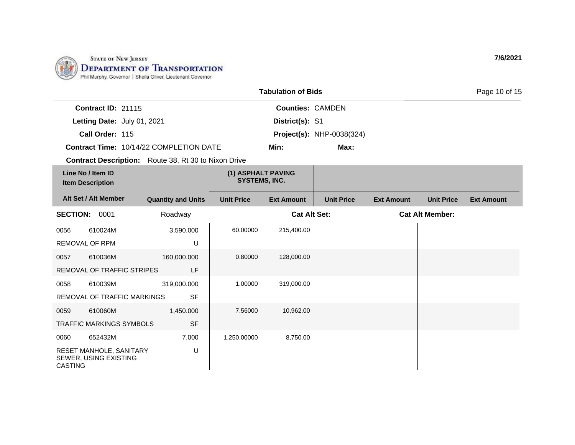

|                       |                                                  |                                                             |                                            | <b>Tabulation of Bids</b> |                                  |                   |                        | Page 10 of 15     |
|-----------------------|--------------------------------------------------|-------------------------------------------------------------|--------------------------------------------|---------------------------|----------------------------------|-------------------|------------------------|-------------------|
|                       | Contract ID: 21115                               |                                                             |                                            | <b>Counties: CAMDEN</b>   |                                  |                   |                        |                   |
|                       | Letting Date: July 01, 2021                      |                                                             |                                            | District(s): S1           |                                  |                   |                        |                   |
|                       | Call Order: 115                                  |                                                             |                                            |                           | <b>Project(s): NHP-0038(324)</b> |                   |                        |                   |
|                       |                                                  | <b>Contract Time: 10/14/22 COMPLETION DATE</b>              |                                            | Min:                      | Max:                             |                   |                        |                   |
|                       |                                                  | <b>Contract Description:</b> Route 38, Rt 30 to Nixon Drive |                                            |                           |                                  |                   |                        |                   |
|                       | Line No / Item ID<br><b>Item Description</b>     |                                                             | (1) ASPHALT PAVING<br><b>SYSTEMS, INC.</b> |                           |                                  |                   |                        |                   |
|                       | Alt Set / Alt Member                             | <b>Quantity and Units</b>                                   | <b>Unit Price</b>                          | <b>Ext Amount</b>         | <b>Unit Price</b>                | <b>Ext Amount</b> | <b>Unit Price</b>      | <b>Ext Amount</b> |
| <b>SECTION: 0001</b>  |                                                  | Roadway                                                     |                                            | <b>Cat Alt Set:</b>       |                                  |                   | <b>Cat Alt Member:</b> |                   |
| 0056                  | 610024M                                          | 3,590.000                                                   | 60.00000                                   | 215,400.00                |                                  |                   |                        |                   |
| <b>REMOVAL OF RPM</b> |                                                  | U                                                           |                                            |                           |                                  |                   |                        |                   |
| 0057                  | 610036M                                          | 160,000.000                                                 | 0.80000                                    | 128,000.00                |                                  |                   |                        |                   |
|                       | REMOVAL OF TRAFFIC STRIPES                       | LF                                                          |                                            |                           |                                  |                   |                        |                   |
| 0058                  | 610039M                                          | 319,000.000                                                 | 1.00000                                    | 319,000.00                |                                  |                   |                        |                   |
|                       | REMOVAL OF TRAFFIC MARKINGS                      | <b>SF</b>                                                   |                                            |                           |                                  |                   |                        |                   |
| 0059                  | 610060M                                          | 1,450.000                                                   | 7.56000                                    | 10,962.00                 |                                  |                   |                        |                   |
|                       | <b>TRAFFIC MARKINGS SYMBOLS</b>                  | <b>SF</b>                                                   |                                            |                           |                                  |                   |                        |                   |
| 0060                  | 652432M                                          | 7.000                                                       | 1,250.00000                                | 8,750.00                  |                                  |                   |                        |                   |
| <b>CASTING</b>        | RESET MANHOLE, SANITARY<br>SEWER, USING EXISTING | U                                                           |                                            |                           |                                  |                   |                        |                   |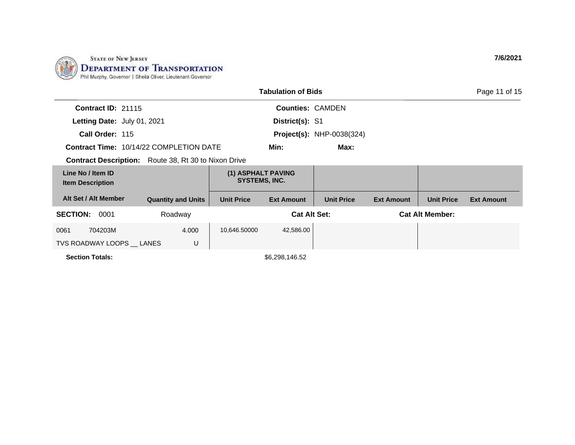

|                                              |                                                             |                                            | <b>Tabulation of Bids</b> |                                  |                   |                        | Page 11 of 15     |
|----------------------------------------------|-------------------------------------------------------------|--------------------------------------------|---------------------------|----------------------------------|-------------------|------------------------|-------------------|
| <b>Contract ID: 21115</b>                    |                                                             |                                            | <b>Counties: CAMDEN</b>   |                                  |                   |                        |                   |
| Letting Date: July 01, 2021                  |                                                             |                                            | District(s): S1           |                                  |                   |                        |                   |
| Call Order: 115                              |                                                             |                                            |                           | <b>Project(s): NHP-0038(324)</b> |                   |                        |                   |
|                                              | <b>Contract Time: 10/14/22 COMPLETION DATE</b>              |                                            | Min:                      | Max:                             |                   |                        |                   |
|                                              | <b>Contract Description:</b> Route 38, Rt 30 to Nixon Drive |                                            |                           |                                  |                   |                        |                   |
| Line No / Item ID<br><b>Item Description</b> |                                                             | (1) ASPHALT PAVING<br><b>SYSTEMS, INC.</b> |                           |                                  |                   |                        |                   |
| Alt Set / Alt Member                         | <b>Quantity and Units</b>                                   | <b>Unit Price</b>                          | <b>Ext Amount</b>         | <b>Unit Price</b>                | <b>Ext Amount</b> | <b>Unit Price</b>      | <b>Ext Amount</b> |
| <b>SECTION:</b><br>0001                      | Roadway                                                     |                                            | <b>Cat Alt Set:</b>       |                                  |                   | <b>Cat Alt Member:</b> |                   |
| 704203M<br>0061                              | 4.000                                                       | 10,646.50000                               | 42,586.00                 |                                  |                   |                        |                   |
| TVS ROADWAY LOOPS LANES                      | U                                                           |                                            |                           |                                  |                   |                        |                   |
| <b>Section Totals:</b>                       |                                                             |                                            | \$6,298,146.52            |                                  |                   |                        |                   |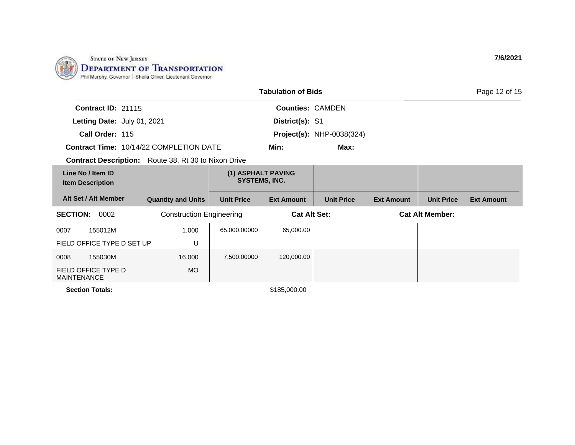

| <b>Tabulation of Bids</b><br>Page 12 of 15                  |                                 |                                     |                         |                                  |                        |                   |                   |
|-------------------------------------------------------------|---------------------------------|-------------------------------------|-------------------------|----------------------------------|------------------------|-------------------|-------------------|
| <b>Contract ID: 21115</b>                                   |                                 |                                     | <b>Counties: CAMDEN</b> |                                  |                        |                   |                   |
| Letting Date: July 01, 2021                                 |                                 |                                     | District(s): S1         |                                  |                        |                   |                   |
| Call Order: 115                                             |                                 |                                     |                         | <b>Project(s): NHP-0038(324)</b> |                        |                   |                   |
| <b>Contract Time: 10/14/22 COMPLETION DATE</b>              |                                 |                                     | Min:                    | Max:                             |                        |                   |                   |
| <b>Contract Description:</b> Route 38, Rt 30 to Nixon Drive |                                 |                                     |                         |                                  |                        |                   |                   |
| Line No / Item ID<br><b>Item Description</b>                |                                 | (1) ASPHALT PAVING<br>SYSTEMS, INC. |                         |                                  |                        |                   |                   |
| Alt Set / Alt Member                                        | <b>Quantity and Units</b>       | <b>Unit Price</b>                   | <b>Ext Amount</b>       | <b>Unit Price</b>                | <b>Ext Amount</b>      | <b>Unit Price</b> | <b>Ext Amount</b> |
| <b>SECTION:</b><br>0002                                     | <b>Construction Engineering</b> |                                     | <b>Cat Alt Set:</b>     |                                  | <b>Cat Alt Member:</b> |                   |                   |
| 155012M<br>0007                                             | 1.000                           | 65,000.00000                        | 65,000.00               |                                  |                        |                   |                   |
| FIELD OFFICE TYPE D SET UP                                  | U                               |                                     |                         |                                  |                        |                   |                   |
| 155030M<br>0008                                             | 16.000                          | 7,500.00000                         | 120,000.00              |                                  |                        |                   |                   |
| FIELD OFFICE TYPE D<br><b>MAINTENANCE</b>                   | <b>MO</b>                       |                                     |                         |                                  |                        |                   |                   |
| <b>Section Totals:</b>                                      |                                 |                                     | \$185,000.00            |                                  |                        |                   |                   |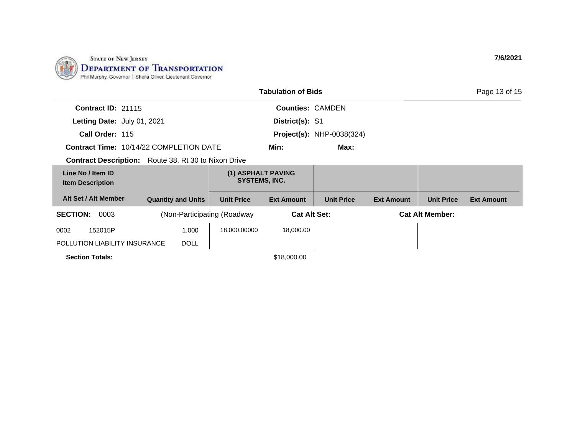

|                                                |  |                                            |                                | <b>Tabulation of Bids</b> |                                  |                   |                        | Page 13 of 15     |
|------------------------------------------------|--|--------------------------------------------|--------------------------------|---------------------------|----------------------------------|-------------------|------------------------|-------------------|
| <b>Contract ID: 21115</b>                      |  |                                            |                                | <b>Counties: CAMDEN</b>   |                                  |                   |                        |                   |
| Letting Date: July 01, 2021                    |  |                                            |                                | District(s): S1           |                                  |                   |                        |                   |
| Call Order: 115                                |  |                                            |                                |                           | <b>Project(s): NHP-0038(324)</b> |                   |                        |                   |
| <b>Contract Time: 10/14/22 COMPLETION DATE</b> |  |                                            |                                | Min:                      | Max:                             |                   |                        |                   |
| <b>Contract Description:</b>                   |  |                                            | Route 38, Rt 30 to Nixon Drive |                           |                                  |                   |                        |                   |
| Line No / Item ID<br><b>Item Description</b>   |  | (1) ASPHALT PAVING<br><b>SYSTEMS, INC.</b> |                                |                           |                                  |                   |                        |                   |
| Alt Set / Alt Member                           |  | <b>Quantity and Units</b>                  | <b>Unit Price</b>              | <b>Ext Amount</b>         | <b>Unit Price</b>                | <b>Ext Amount</b> | <b>Unit Price</b>      | <b>Ext Amount</b> |
| <b>SECTION:</b><br>0003                        |  |                                            | (Non-Participating (Roadway)   | <b>Cat Alt Set:</b>       |                                  |                   | <b>Cat Alt Member:</b> |                   |
| 152015P<br>0002                                |  | 1.000                                      | 18,000.00000                   | 18,000.00                 |                                  |                   |                        |                   |
| POLLUTION LIABILITY INSURANCE                  |  | <b>DOLL</b>                                |                                |                           |                                  |                   |                        |                   |
| <b>Section Totals:</b>                         |  |                                            |                                | \$18,000.00               |                                  |                   |                        |                   |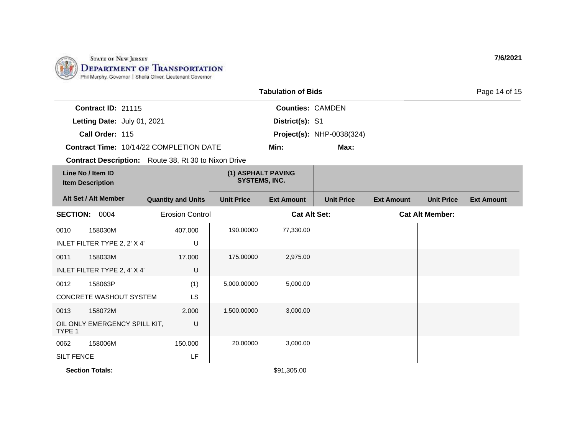

| <b>Tabulation of Bids</b>                      |                                                             |                           |                                            |                         | Page 14 of 15                    |                   |                   |                   |
|------------------------------------------------|-------------------------------------------------------------|---------------------------|--------------------------------------------|-------------------------|----------------------------------|-------------------|-------------------|-------------------|
|                                                | Contract ID: 21115                                          |                           |                                            | <b>Counties: CAMDEN</b> |                                  |                   |                   |                   |
| Letting Date: July 01, 2021                    |                                                             |                           | District(s): S1                            |                         |                                  |                   |                   |                   |
| Call Order: 115                                |                                                             |                           |                                            |                         | <b>Project(s): NHP-0038(324)</b> |                   |                   |                   |
| Contract Time: 10/14/22 COMPLETION DATE        |                                                             |                           |                                            | Min:                    | Max:                             |                   |                   |                   |
|                                                | <b>Contract Description:</b> Route 38, Rt 30 to Nixon Drive |                           |                                            |                         |                                  |                   |                   |                   |
|                                                | Line No / Item ID<br><b>Item Description</b>                |                           | (1) ASPHALT PAVING<br><b>SYSTEMS, INC.</b> |                         |                                  |                   |                   |                   |
|                                                | Alt Set / Alt Member                                        | <b>Quantity and Units</b> | <b>Unit Price</b>                          | <b>Ext Amount</b>       | <b>Unit Price</b>                | <b>Ext Amount</b> | <b>Unit Price</b> | <b>Ext Amount</b> |
| <b>Erosion Control</b><br><b>SECTION: 0004</b> |                                                             | <b>Cat Alt Set:</b>       |                                            | <b>Cat Alt Member:</b>  |                                  |                   |                   |                   |
| 0010                                           | 158030M                                                     | 407.000                   | 190.00000                                  | 77,330.00               |                                  |                   |                   |                   |
|                                                | INLET FILTER TYPE 2, 2' X 4'                                | U                         |                                            |                         |                                  |                   |                   |                   |
| 0011                                           | 158033M                                                     | 17.000                    | 175.00000                                  | 2,975.00                |                                  |                   |                   |                   |
|                                                | INLET FILTER TYPE 2, 4' X 4'                                | U                         |                                            |                         |                                  |                   |                   |                   |
| 0012                                           | 158063P                                                     | (1)                       | 5,000.00000                                | 5,000.00                |                                  |                   |                   |                   |
|                                                | CONCRETE WASHOUT SYSTEM                                     | <b>LS</b>                 |                                            |                         |                                  |                   |                   |                   |
| 0013                                           | 158072M                                                     | 2.000                     | 1,500.00000                                | 3,000.00                |                                  |                   |                   |                   |
| TYPE 1                                         | OIL ONLY EMERGENCY SPILL KIT,                               | U                         |                                            |                         |                                  |                   |                   |                   |
| 0062                                           | 158006M                                                     | 150.000                   | 20.00000                                   | 3,000.00                |                                  |                   |                   |                   |
| <b>SILT FENCE</b>                              |                                                             | LF                        |                                            |                         |                                  |                   |                   |                   |
|                                                | <b>Section Totals:</b>                                      |                           |                                            | \$91,305.00             |                                  |                   |                   |                   |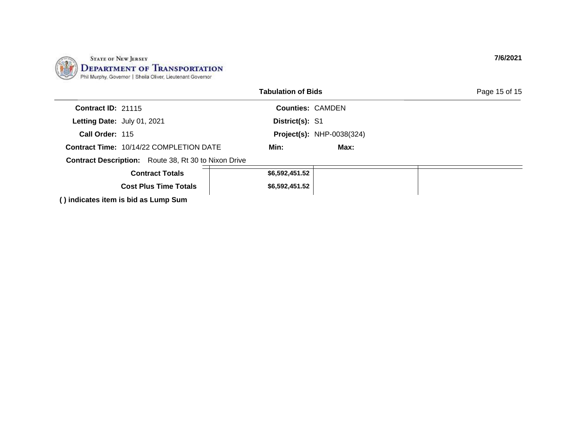| <b>STATE OF NEW JERSEY</b>                                                                                        |
|-------------------------------------------------------------------------------------------------------------------|
| STATE OF NEW JERSEY<br>DEPARTMENT OF TRANSPORTATION<br>Phil Murphy, Governor   Sheila Oliver, Lieutenant Governor |
|                                                                                                                   |

|                                      |                                                             | <b>Tabulation of Bids</b> |                                  | Page 15 of 15 |
|--------------------------------------|-------------------------------------------------------------|---------------------------|----------------------------------|---------------|
| <b>Contract ID: 21115</b>            |                                                             | <b>Counties: CAMDEN</b>   |                                  |               |
| Letting Date: July 01, 2021          |                                                             | District(s): S1           |                                  |               |
| Call Order: 115                      |                                                             |                           | <b>Project(s): NHP-0038(324)</b> |               |
|                                      | <b>Contract Time: 10/14/22 COMPLETION DATE</b>              | Min:                      | Max:                             |               |
|                                      | <b>Contract Description:</b> Route 38, Rt 30 to Nixon Drive |                           |                                  |               |
|                                      | <b>Contract Totals</b>                                      | \$6,592,451.52            |                                  |               |
|                                      | <b>Cost Plus Time Totals</b>                                |                           | \$6,592,451.52                   |               |
| () indicates item is bid as Lump Sum |                                                             |                           |                                  |               |